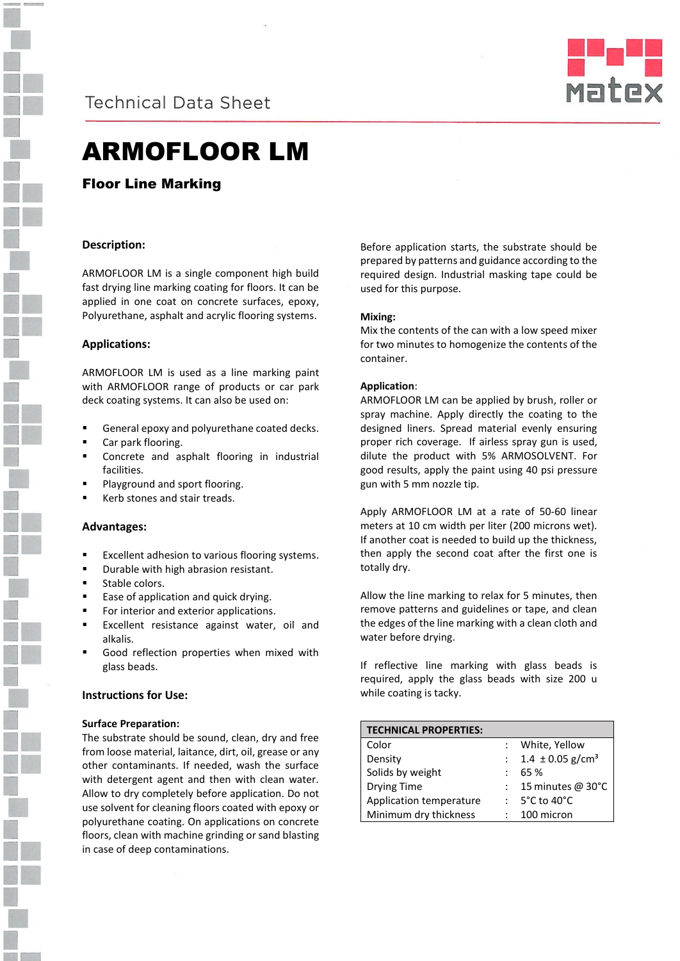



# ARMOFLOOR LM

Floor Line Marking

# **Description:**

ARMOFLOOR LM is a single component high build fast drying line marking coating for floors. It can be applied in one coat on concrete surfaces, epoxy, Polyurethane, asphalt and acrylic flooring systems.

## **Applications:**

ARMOFLOOR LM is used as a line marking paint with ARMOFLOOR range of products or car park deck coating systems. It can also be used on:

- General epoxy and polyurethane coated decks.
- Car park flooring.
- Concrete and asphalt flooring in industrial facilities.
- Playground and sport flooring.
- Kerb stones and stair treads.

### **Advantages:**

- Excellent adhesion to various flooring systems.
- Durable with high abrasion resistant.
- Stable colors.
- Ease of application and quick drying.
- For interior and exterior applications.
- Excellent resistance against water, oil and alkalis.
- Good reflection properties when mixed with glass beads.

### **Instructions for Use:**

### **Surface Preparation:**

The substrate should be sound, clean, dry and free from loose material, laitance, dirt, oil, grease or any other contaminants. If needed, wash the surface with detergent agent and then with clean water. Allow to dry completely before application. Do not use solvent for cleaning floors coated with epoxy or polyurethane coating. On applications on concrete floors, clean with machine grinding or sand blasting in case of deep contaminations.

Before application starts, the substrate should be prepared by patterns and guidance according to the required design. Industrial masking tape could be used for this purpose.

## **Mixing:**

Mix the contents of the can with a low speed mixer for two minutes to homogenize the contents of the container.

## **Application**:

ARMOFLOOR LM can be applied by brush, roller or spray machine. Apply directly the coating to the designed liners. Spread material evenly ensuring proper rich coverage. If airless spray gun is used, dilute the product with 5% ARMOSOLVENT. For good results, apply the paint using 40 psi pressure gun with 5 mm nozzle tip.

Apply ARMOFLOOR LM at a rate of 50-60 linear meters at 10 cm width per liter (200 microns wet). If another coat is needed to build up the thickness, then apply the second coat after the first one is totally dry.

Allow the line marking to relax for 5 minutes, then remove patterns and guidelines or tape, and clean the edges of the line marking with a clean cloth and water before drying.

If reflective line marking with glass beads is required, apply the glass beads with size 200 u while coating is tacky.

| <b>TECHNICAL PROPERTIES:</b> |                                    |
|------------------------------|------------------------------------|
| Color                        | White, Yellow                      |
| Density                      | $1.4 \pm 0.05$ g/cm <sup>3</sup>   |
| Solids by weight             | 65 %                               |
| <b>Drying Time</b>           | 15 minutes @ 30°C                  |
| Application temperature      | $: 5^{\circ}$ C to 40 $^{\circ}$ C |
| Minimum dry thickness        | 100 micron                         |